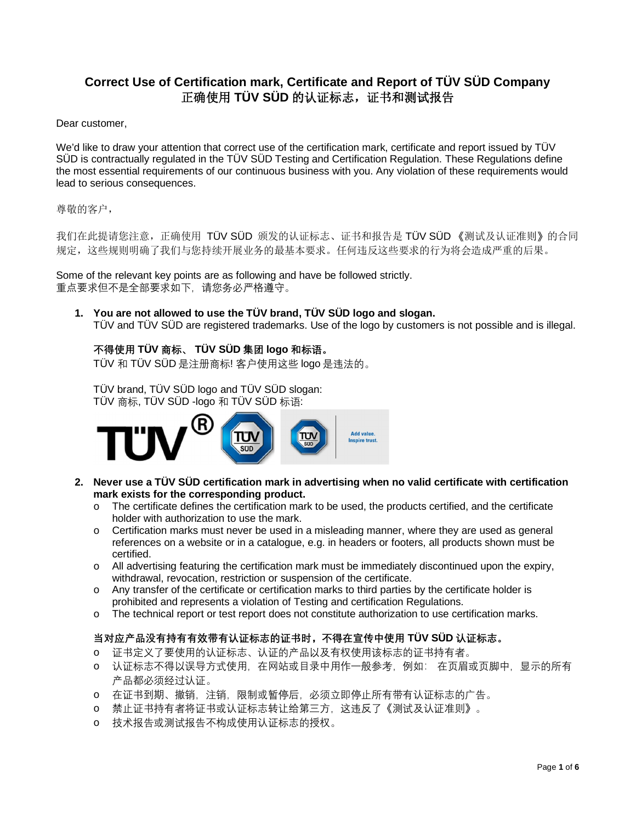## **Correct Use of Certification mark, Certificate and Report of TÜV SÜD Company** 正确使用 **TÜV SÜD** 的认证标志,证书和测试报告

Dear customer,

We'd like to draw your attention that correct use of the certification mark, certificate and report issued by TÜV SÜD is contractually regulated in the TÜV SÜD Testing and Certification Regulation. These Regulations define the most essential requirements of our continuous business with you. Any violation of these requirements would lead to serious consequences.

尊敬的客户.

我们在此提请您注意,正确使用 TÜV SÜD 颁发的认证标志、证书和报告是 TÜV SÜD 《测试及认证准则》的合同 规定,这些规则明确了我们与您持续开展业务的最基本要求。任何违反这些要求的行为将会造成严重的后果。

Some of the relevant key points are as following and have be followed strictly. 重点要求但不是全部要求如下,请您务必严格遵守。

**1. You are not allowed to use the TÜV brand, TÜV SÜD logo and slogan.** TÜV and TÜV SÜD are registered trademarks. Use of the logo by customers is not possible and is illegal.

**不得使用 TÜV 商标、 TÜV SÜD 集团 logo 和标语。**

TÜV 和 TÜV SÜD 是注册商标! 客户使用这些 logo 是违法的。

TÜV brand, TÜV SÜD logo and TÜV SÜD slogan: TÜV 商标, TÜV SÜD -logo 和 TÜV SÜD 标语:



- **2. Never use a TÜV SÜD certification mark in advertising when no valid certificate with certification mark exists for the corresponding product.**
	- o The certificate defines the certification mark to be used, the products certified, and the certificate holder with authorization to use the mark.
	- o Certification marks must never be used in a misleading manner, where they are used as general references on a website or in a catalogue, e.g. in headers or footers, all products shown must be certified.
	- o All advertising featuring the certification mark must be immediately discontinued upon the expiry, withdrawal, revocation, restriction or suspension of the certificate.
	- o Any transfer of the certificate or certification marks to third parties by the certificate holder is prohibited and represents a violation of Testing and certification Regulations.
	- o The technical report or test report does not constitute authorization to use certification marks.

## **当对应产品没有持有有效带有认证标志的证书时,不得在宣传中使用 TÜV SÜD 认证标志。**

- o 证书定义了要使用的认证标志、认证的产品以及有权使用该标志的证书持有者。
- o 认证标志不得以误导方式使用,在网站或目录中用作一般参考,例如: 在页眉或页脚中,显示的所有 产品都必须经过认证。
- o 在证书到期、撤销,注销,限制或暂停后,必须立即停止所有带有认证标志的广告。
- o 禁止证书持有者将证书或认证标志转让给第三方,这违反了《测试及认证准则》。
- o 技术报告或测试报告不构成使用认证标志的授权。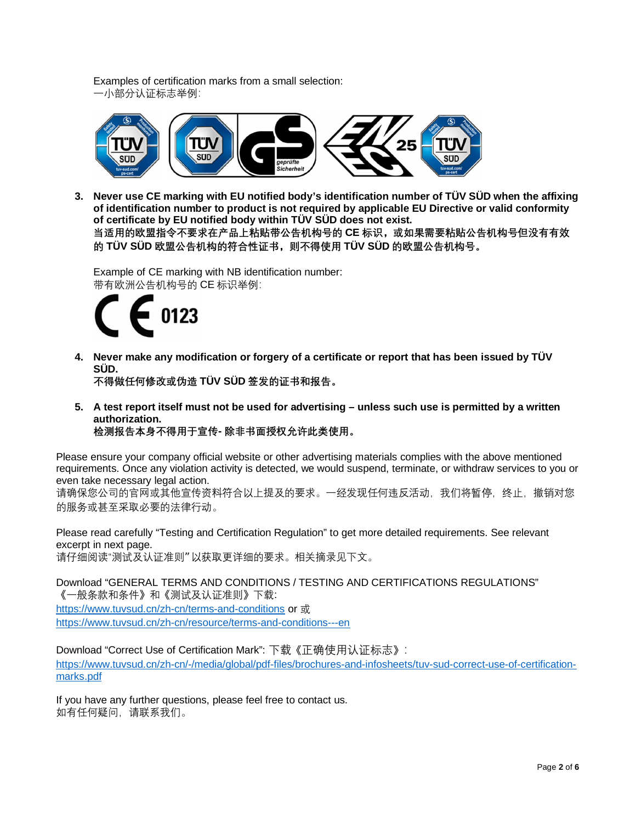Examples of certification marks from a small selection: 一小部分认证标志举例:



**3. Never use CE marking with EU notified body's identification number of TÜV SÜD when the affixing of identification number to product is not required by applicable EU Directive or valid conformity of certificate by EU notified body within TÜV SÜD does not exist.**

**当适用的欧盟指令不要求在产品上粘贴带公告机构号的 CE 标识,或如果需要粘贴公告机构号但没有有效 的 TÜV SÜD 欧盟公告机构的符合性证书,则不得使用 TÜV SÜD 的欧盟公告机构号。**

Example of CE marking with NB identification number: 带有欧洲公告机构号的 CE 标识举例:



**4. Never make any modification or forgery of a certificate or report that has been issued by TÜV SÜD.**

**不得做任何修改或伪造 TÜV SÜD 签发的证书和报告。**

**5. A test report itself must not be used for advertising – unless such use is permitted by a written authorization.**

**检测报告本身不得用于宣传- 除非书面授权允许此类使用。**

Please ensure your company official website or other advertising materials complies with the above mentioned requirements. Once any violation activity is detected, we would suspend, terminate, or withdraw services to you or even take necessary legal action.

请确保您公司的官网或其他宣传资料符合以上提及的要求。一经发现任何违反活动,我们将暂停,终止,撤销对您 的服务或甚至采取必要的法律行动。

Please read carefully "Testing and Certification Regulation" to get more detailed requirements. See relevant excerpt in next page. 请仔细阅读"测试及认证准则" 以获取更详细的要求。相关摘录见下文。

Download "GENERAL TERMS AND CONDITIONS / TESTING AND CERTIFICATIONS REGULATIONS" 《一般条款和条件》和《测试及认证准则》下载: https://www.tuvsud.cn/zh-cn/terms-and-conditions or 或 https://www.tuvsud.cn/zh-cn/resource/terms-and-conditions---en

Download "Correct Use of Certification Mark": 下载《正确使用认证标志》:

https://www.tuvsud.cn/zh-cn/-/media/global/pdf-files/brochures-and-infosheets/tuv-sud-correct-use-of-certificationmarks.pdf

If you have any further questions, please feel free to contact us. 如有任何疑问,请联系我们。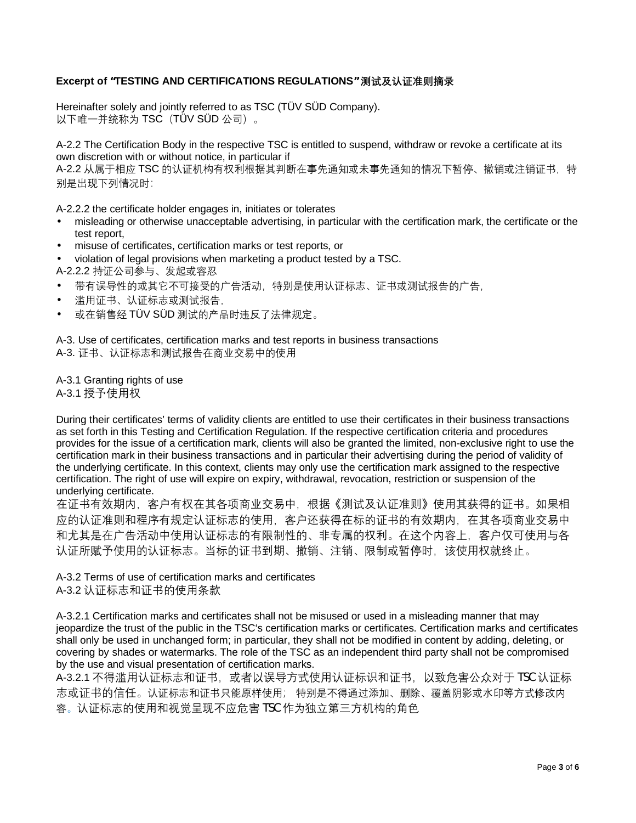## **Excerpt of "TESTING AND CERTIFICATIONS REGULATIONS" 测试及认证准则摘录**

Hereinafter solely and jointly referred to as TSC (TÜV SÜD Company). 以下唯一并统称为 TSC (TÜV SÜD 公司)。

A-2.2 The Certification Body in the respective TSC is entitled to suspend, withdraw or revoke a certificate at its own discretion with or without notice, in particular if

A-2.2 从属于相应 TSC 的认证机构有权利根据其判断在事先通知或未事先通知的情况下暂停、撤销或注销证书,特 别是出现下列情况时:

A-2.2.2 the certificate holder engages in, initiates or tolerates

- misleading or otherwise unacceptable advertising, in particular with the certification mark, the certificate or the test report,
- misuse of certificates, certification marks or test reports, or
- violation of legal provisions when marketing a product tested by a TSC.
- A-2.2.2 持证公司参与、发起或容忍
- 带有误导性的或其它不可接受的广告活动,特别是使用认证标志、证书或测试报告的广告,
- 滥用证书、认证标志或测试报告,
- 或在销售经 TÜV SÜD 测试的产品时违反了法律规定。

A-3. Use of certificates, certification marks and test reports in business transactions A-3. 证书、认证标志和测试报告在商业交易中的使用

A-3.1 Granting rights of use A-3.1 授予使用权

During their certificates' terms of validity clients are entitled to use their certificates in their business transactions as set forth in this Testing and Certification Regulation. If the respective certification criteria and procedures provides for the issue of a certification mark, clients will also be granted the limited, non-exclusive right to use the certification mark in their business transactions and in particular their advertising during the period of validity of the underlying certificate. In this context, clients may only use the certification mark assigned to the respective certification. The right of use will expire on expiry, withdrawal, revocation, restriction or suspension of the underlying certificate.

在证书有效期内,客户有权在其各项商业交易中,根据《测试及认证准则》使用其获得的证书。如果相 应的认证准则和程序有规定认证标志的使用,客户还获得在标的证书的有效期内,在其各项商业交易中 和尤其是在广告活动中使用认证标志的有限制性的、非专属的权利。在这个内容上,客户仅可使用与各 认证所赋予使用的认证标志。当标的证书到期、撤销、注销、限制或暂停时,该使用权就终止。

A-3.2 Terms of use of certification marks and certificates A-3.2 认证标志和证书的使用条款

A-3.2.1 Certification marks and certificates shall not be misused or used in a misleading manner that may jeopardize the trust of the public in the TSC's certification marks or certificates. Certification marks and certificates shall only be used in unchanged form; in particular, they shall not be modified in content by adding, deleting, or covering by shades or watermarks. The role of the TSC as an independent third party shall not be compromised by the use and visual presentation of certification marks.

A-3.2.1 不得滥用认证标志和证书,或者以误导方式使用认证标识和证书,以致危害公众对于 TSC 认证标 志或证书的信任。认证标志和证书只能原样使用; 特别是不得通过添加、删除、覆盖阴影或水印等方式修改内 容。认证标志的使用和视觉呈现不应危害 TSC 作为独立第三方机构的角色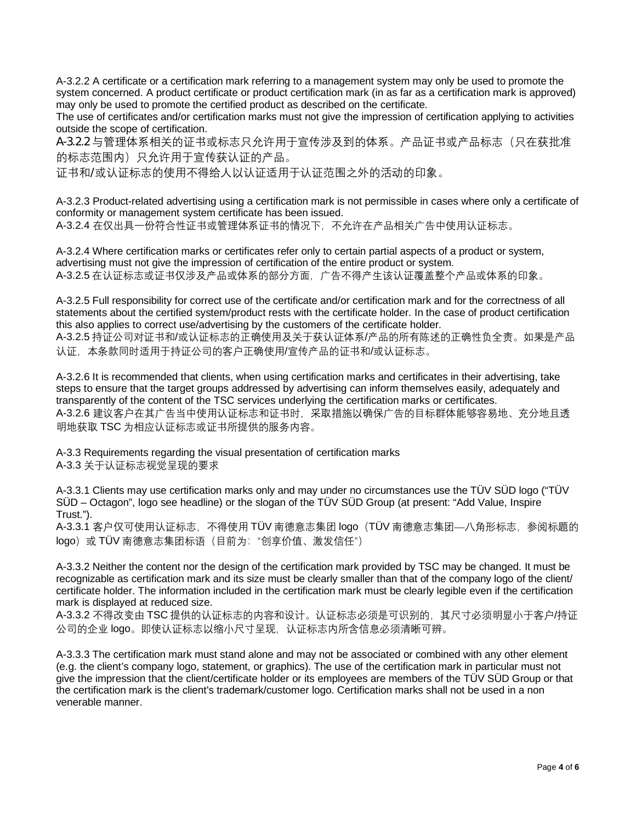A-3.2.2 A certificate or a certification mark referring to a management system may only be used to promote the system concerned. A product certificate or product certification mark (in as far as a certification mark is approved) may only be used to promote the certified product as described on the certificate.

The use of certificates and/or certification marks must not give the impression of certification applying to activities outside the scope of certification.

A-3.2.2 与管理体系相关的证书或标志只允许用于宣传涉及到的体系。产品证书或产品标志(只在获批准 的标志范围内)只允许用于宣传获认证的产品。

证书和/或认证标志的使用不得给人以认证适用于认证范围之外的活动的印象。

A-3.2.3 Product-related advertising using a certification mark is not permissible in cases where only a certificate of conformity or management system certificate has been issued. A-3.2.4 在仅出具一份符合性证书或管理体系证书的情况下, 不允许在产品相关广告中使用认证标志。

A-3.2.4 Where certification marks or certificates refer only to certain partial aspects of a product or system, advertising must not give the impression of certification of the entire product or system. A-3.2.5 在认证标志或证书仅涉及产品或体系的部分方面,广告不得产生该认证覆盖整个产品或体系的印象。

A-3.2.5 Full responsibility for correct use of the certificate and/or certification mark and for the correctness of all statements about the certified system/product rests with the certificate holder. In the case of product certification this also applies to correct use/advertising by the customers of the certificate holder.

A-3.2.5 持证公司对证书和/或认证标志的正确使用及关于获认证体系/产品的所有陈述的正确性负全责。如果是产品 认证,本条款同时适用于持证公司的客户正确使用/宣传产品的证书和/或认证标志。

A-3.2.6 It is recommended that clients, when using certification marks and certificates in their advertising, take steps to ensure that the target groups addressed by advertising can inform themselves easily, adequately and transparently of the content of the TSC services underlying the certification marks or certificates. A-3.2.6 建议客户在其广告当中使用认证标志和证书时,采取措施以确保广告的目标群体能够容易地、充分地且透 明地获取 TSC 为相应认证标志或证书所提供的服务内容。

A-3.3 Requirements regarding the visual presentation of certification marks A-3.3 关于认证标志视觉呈现的要求

A-3.3.1 Clients may use certification marks only and may under no circumstances use the TÜV SÜD logo ("TÜV SÜD – Octagon", logo see headline) or the slogan of the TÜV SÜD Group (at present: "Add Value, Inspire Trust.").

A-3.3.1 客户仅可使用认证标志,不得使用 TÜV 南德意志集团 logo (TÜV 南德意志集团—八角形标志, 参阅标题的 logo)或 TÜV 南德意志集团标语 (目前为: "创享价值、激发信任")

A-3.3.2 Neither the content nor the design of the certification mark provided by TSC may be changed. It must be recognizable as certification mark and its size must be clearly smaller than that of the company logo of the client/ certificate holder. The information included in the certification mark must be clearly legible even if the certification mark is displayed at reduced size.

A-3.3.2 不得改变由 TSC 提供的认证标志的内容和设计。认证标志必须是可识别的,其尺寸必须明显小于客户/持证 公司的企业 logo。即使认证标志以缩小尺寸呈现,认证标志内所含信息必须清晰可辨。

A-3.3.3 The certification mark must stand alone and may not be associated or combined with any other element (e.g. the client's company logo, statement, or graphics). The use of the certification mark in particular must not give the impression that the client/certificate holder or its employees are members of the TÜV SÜD Group or that the certification mark is the client's trademark/customer logo. Certification marks shall not be used in a non venerable manner.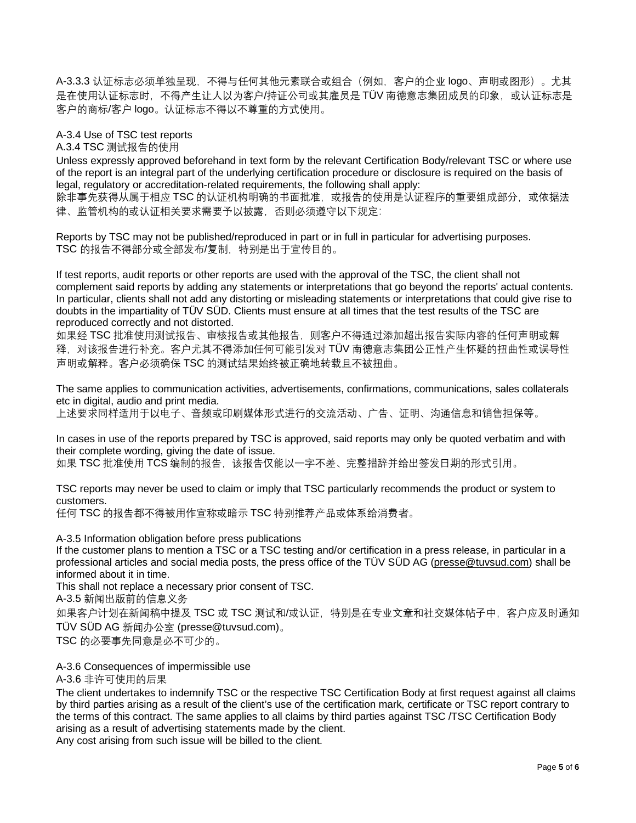A-3.3.3 认证标志必须单独呈现,不得与任何其他元素联合或组合(例如,客户的企业 logo、声明或图形)。尤其 是在使用认证标志时,不得产生让人以为客户/持证公司或其雇员是 TÜV 南德意志集团成员的印象,或认证标志是 客户的商标/客户 logo。认证标志不得以不尊重的方式使用。

A-3.4 Use of TSC test reports

A.3.4 TSC 测试报告的使用

Unless expressly approved beforehand in text form by the relevant Certification Body/relevant TSC or where use of the report is an integral part of the underlying certification procedure or disclosure is required on the basis of legal, regulatory or accreditation-related requirements, the following shall apply:

除非事先获得从属于相应 TSC 的认证机构明确的书面批准,或报告的使用是认证程序的重要组成部分,或依据法 律、监管机构的或认证相关要求需要予以披露,否则必须遵守以下规定:

Reports by TSC may not be published/reproduced in part or in full in particular for advertising purposes. TSC 的报告不得部分或全部发布/复制,特别是出于宣传目的。

If test reports, audit reports or other reports are used with the approval of the TSC, the client shall not complement said reports by adding any statements or interpretations that go beyond the reports' actual contents. In particular, clients shall not add any distorting or misleading statements or interpretations that could give rise to doubts in the impartiality of TÜV SÜD. Clients must ensure at all times that the test results of the TSC are reproduced correctly and not distorted.

如果经 TSC 批准使用测试报告、审核报告或其他报告, 则客户不得通过添加超出报告实际内容的任何声明或解 释,对该报告进行补充。客户尤其不得添加任何可能引发对 TÜV 南德意志集团公正性产生怀疑的扭曲性或误导性 声明或解释。客户必须确保 TSC 的测试结果始终被正确地转载且不被扭曲。

The same applies to communication activities, advertisements, confirmations, communications, sales collaterals etc in digital, audio and print media.

上述要求同样适用于以电子、音频或印刷媒体形式进行的交流活动、广告、证明、沟通信息和销售担保等。

In cases in use of the reports prepared by TSC is approved, said reports may only be quoted verbatim and with their complete wording, giving the date of issue. 如果 TSC 批准使用 TCS 编制的报告, 该报告仅能以一字不差、完整措辞并给出签发日期的形式引用。

TSC reports may never be used to claim or imply that TSC particularly recommends the product or system to customers.

任何 TSC 的报告都不得被用作宣称或暗示 TSC 特别推荐产品或体系给消费者。

A-3.5 Information obligation before press publications

If the customer plans to mention a TSC or a TSC testing and/or certification in a press release, in particular in a professional articles and social media posts, the press office of the TÜV SÜD AG (presse@tuvsud.com) shall be informed about it in time.

This shall not replace a necessary prior consent of TSC.

A-3.5 新闻出版前的信息义务

如果客户计划在新闻稿中提及 TSC 或 TSC 测试和/或认证,特别是在专业文章和社交媒体帖子中, 客户应及时通知 TÜV SÜD AG 新闻办公室 (presse@tuvsud.com)。

TSC 的必要事先同意是必不可少的。

A-3.6 Consequences of impermissible use

A-3.6 非许可使用的后果

The client undertakes to indemnify TSC or the respective TSC Certification Body at first request against all claims by third parties arising as a result of the client's use of the certification mark, certificate or TSC report contrary to the terms of this contract. The same applies to all claims by third parties against TSC /TSC Certification Body arising as a result of advertising statements made by the client.

Any cost arising from such issue will be billed to the client.